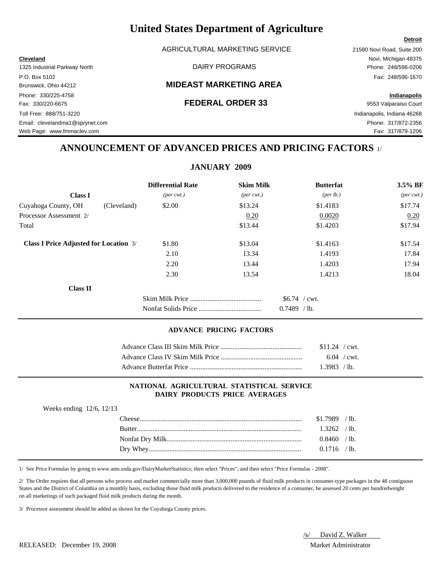AGRICULTURAL MARKETING SERVICE 21580 Novi Road, Suite 200

### Brunswick, Ohio 44212 **MIDEAST MARKETING AREA**

**Cleveland** Novi, Michigan 48375

Web Page: www.fmmaclev.com **Fax: 317/879-1206** 

## **ANNOUNCEMENT OF ADVANCED PRICES AND PRICING FACTORS** 1/

# **JANUARY 2009**

|                                               | <b>Differential Rate</b>    | <b>Skim Milk</b>            | <b>Butterfat</b>  | 3.5% BF                     |
|-----------------------------------------------|-----------------------------|-----------------------------|-------------------|-----------------------------|
| <b>Class I</b>                                | $(\text{per} \text{ cwt.})$ | $(\text{per} \text{ cwt.})$ | (per lb.)         | $(\text{per} \text{ cwt.})$ |
| (Cleveland)<br>Cuyahoga County, OH            | \$2.00                      | \$13.24                     | \$1.4183          | \$17.74                     |
| Processor Assessment 2/                       |                             | 0.20                        | 0.0020            | 0.20                        |
| Total                                         |                             | \$13.44                     | \$1.4203          | \$17.94                     |
| <b>Class I Price Adjusted for Location 3/</b> | \$1.80                      | \$13.04                     | \$1.4163          | \$17.54                     |
|                                               | 2.10                        | 13.34                       | 1.4193            | 17.84                       |
|                                               | 2.20                        | 13.44                       | 1.4203            | 17.94                       |
|                                               | 2.30                        | 13.54                       | 1.4213            | 18.04                       |
| Class II                                      |                             |                             |                   |                             |
|                                               |                             |                             | $$6.74$ / cwt.    |                             |
|                                               |                             |                             | 0.7489<br>$/$ lb. |                             |

### **ADVANCE PRICING FACTORS**

| $$11.24$ / cwt. |  |
|-----------------|--|
| $6.04$ / cwt.   |  |
| 1.3983 / lb.    |  |

### **NATIONAL AGRICULTURAL STATISTICAL SERVICE DAIRY PRODUCTS PRICE AVERAGES**

| Weeks ending $12/6$ , $12/13$ |                |  |
|-------------------------------|----------------|--|
|                               | $$1.7989$ /lb. |  |
|                               | $1.3262$ /lb.  |  |
|                               | $0.8460$ /lb.  |  |
|                               | $0.1716$ /lb.  |  |
|                               |                |  |

1/ See Price Formulas by going to www.ams.usda.gov/DairyMarketStatistics; then select "Prices"; and then select "Price Formulas - 2008".

2/ The Order requires that all persons who process and market commercially more than 3,000,000 pounds of fluid milk products in consumer-type packages in the 48 contiguous States and the District of Columbia on a monthly basis, excluding those fluid milk products delivered to the residence of a consumer, be assessed 20 cents per hundredweight on all marketings of such packaged fluid milk products during the month.

3/ Processor assessment should be added as shown for the Cuyahoga County prices.

/s/ David Z. Walker

### **Detroit**

# 1325 Industrial Parkway North **Example 248/596-0206** DAIRY PROGRAMS **Phone: 248/596-0206** P.O. Box 5102 Fax: 248/596-1670 Phone: 330/225-4758 **Indianapolis** Fax: 330/220-6675 **FEDERAL ORDER 33** 9553 Valparaiso Court Toll Free: 888/751-3220 Indianapolis, Indiana 46268 Email: clevelandma1@sprynet.com Phone: 317/872-2356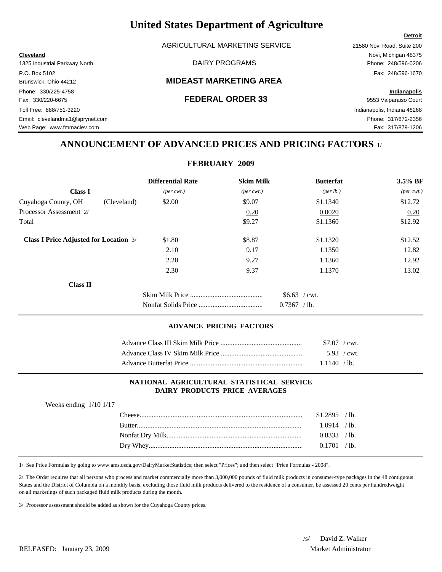AGRICULTURAL MARKETING SERVICE 21580 Novi Road, Suite 200

### Brunswick, Ohio 44212 **MIDEAST MARKETING AREA**

### Fax: 330/220-6675 **FEDERAL ORDER 33** 9553 Valparaiso Court

**Cleveland** Novi, Michigan 48375

**Detroit**

# **ANNOUNCEMENT OF ADVANCED PRICES AND PRICING FACTORS** 1/

**FEBRUARY 2009**

|                                               | <b>Differential Rate</b>    | <b>Skim Milk</b>            | <b>Butterfat</b>  | 3.5% BF                     |
|-----------------------------------------------|-----------------------------|-----------------------------|-------------------|-----------------------------|
| <b>Class I</b>                                | $(\text{per} \text{ cwt.})$ | $(\text{per} \text{ cwt.})$ | (per lb.)         | $(\text{per} \text{ cwt.})$ |
| Cuyahoga County, OH<br>(Cleveland)            | \$2.00                      | \$9.07                      | \$1.1340          | \$12.72                     |
| Processor Assessment 2/                       |                             | 0.20                        | 0.0020            | 0.20                        |
| Total                                         |                             | \$9.27                      | \$1.1360          | \$12.92                     |
| <b>Class I Price Adjusted for Location 3/</b> | \$1.80                      | \$8.87                      | \$1.1320          | \$12.52                     |
|                                               | 2.10                        | 9.17                        | 1.1350            | 12.82                       |
|                                               | 2.20                        | 9.27                        | 1.1360            | 12.92                       |
|                                               | 2.30                        | 9.37                        | 1.1370            | 13.02                       |
| <b>Class II</b>                               |                             |                             |                   |                             |
|                                               |                             |                             | $$6.63$ / cwt.    |                             |
|                                               |                             |                             | 0.7367<br>$/$ lb. |                             |

### **ADVANCE PRICING FACTORS**

| $$7.07$ / cwt. |  |
|----------------|--|
| 5.93 / cwt.    |  |
| 1.1140 / lb.   |  |

### **NATIONAL AGRICULTURAL STATISTICAL SERVICE DAIRY PRODUCTS PRICE AVERAGES**

| $$1.2895$ /lb.<br>1.0914 /lb.<br><b>Butter</b><br>0.8333 / lb.<br>0.1701 / lb. | Weeks ending $1/10$ 1/17 |  |  |
|--------------------------------------------------------------------------------|--------------------------|--|--|
|                                                                                |                          |  |  |
|                                                                                |                          |  |  |
|                                                                                |                          |  |  |
|                                                                                |                          |  |  |

1/ See Price Formulas by going to www.ams.usda.gov/DairyMarketStatistics; then select "Prices"; and then select "Price Formulas - 2008".

2/ The Order requires that all persons who process and market commercially more than 3,000,000 pounds of fluid milk products in consumer-type packages in the 48 contiguous States and the District of Columbia on a monthly basis, excluding those fluid milk products delivered to the residence of a consumer, be assessed 20 cents per hundredweight on all marketings of such packaged fluid milk products during the month.

3/ Processor assessment should be added as shown for the Cuyahoga County prices.

/s/ David Z. Walker

1325 Industrial Parkway North DAIRY PROGRAMS Phone: 248/596-0206 P.O. Box 5102 Fax: 248/596-1670 Phone: 330/225-4758 **Indianapolis** Toll Free: 888/751-3220 Indianapolis, Indiana 46268 Email: clevelandma1@sprynet.com Phone: 317/872-2356 Web Page: www.fmmaclev.com **Fax: 317/879-1206** 

RELEASED: January 23, 2009 Market Administrator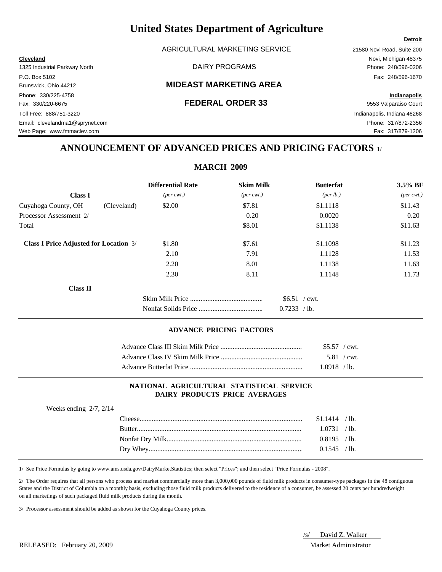AGRICULTURAL MARKETING SERVICE 21580 Novi Road, Suite 200

### Brunswick, Ohio 44212 **MIDEAST MARKETING AREA**

### Fax: 330/220-6675 **FEDERAL ORDER 33** 9553 Valparaiso Court

**Cleveland** Novi, Michigan 48375

Web Page: www.fmmaclev.com **Fax: 317/879-1206** 

## **ANNOUNCEMENT OF ADVANCED PRICES AND PRICING FACTORS** 1/

|                                               |             |                             | <b>MARCH 2009</b>           |                   |                             |
|-----------------------------------------------|-------------|-----------------------------|-----------------------------|-------------------|-----------------------------|
|                                               |             | <b>Differential Rate</b>    | <b>Skim Milk</b>            | <b>Butterfat</b>  | 3.5% BF                     |
| <b>Class I</b>                                |             | $(\text{per} \text{ cwt.})$ | $(\text{per} \text{ cwt.})$ | (per lb.)         | $(\text{per} \text{ cwt.})$ |
| Cuyahoga County, OH                           | (Cleveland) | \$2.00                      | \$7.81                      | \$1.1118          | \$11.43                     |
| Processor Assessment 2/                       |             |                             | 0.20                        | 0.0020            | 0.20                        |
| Total                                         |             |                             | \$8.01                      | \$1.1138          | \$11.63                     |
| <b>Class I Price Adjusted for Location 3/</b> |             | \$1.80                      | \$7.61                      | \$1.1098          | \$11.23                     |
|                                               |             | 2.10                        | 7.91                        | 1.1128            | 11.53                       |
|                                               |             | 2.20                        | 8.01                        | 1.1138            | 11.63                       |
|                                               |             | 2.30                        | 8.11                        | 1.1148            | 11.73                       |
| <b>Class II</b>                               |             |                             |                             |                   |                             |
|                                               |             |                             |                             | $$6.51$ / cwt.    |                             |
|                                               |             |                             |                             | 0.7233<br>$/$ lb. |                             |

### **ADVANCE PRICING FACTORS**

| $$5.57$ / cwt. |  |
|----------------|--|
| 5.81 / cwt.    |  |
| 1.0918 /lb.    |  |

### **NATIONAL AGRICULTURAL STATISTICAL SERVICE DAIRY PRODUCTS PRICE AVERAGES**

| Weeks ending $2/7$ , $2/14$ |                 |  |
|-----------------------------|-----------------|--|
|                             | $$1.1414$ / lb. |  |
|                             | 1.0731 / lb.    |  |
|                             | $0.8195$ /lb.   |  |
|                             | $0.1545$ /lb.   |  |

1/ See Price Formulas by going to www.ams.usda.gov/DairyMarketStatistics; then select "Prices"; and then select "Price Formulas - 2008".

2/ The Order requires that all persons who process and market commercially more than 3,000,000 pounds of fluid milk products in consumer-type packages in the 48 contiguous States and the District of Columbia on a monthly basis, excluding those fluid milk products delivered to the residence of a consumer, be assessed 20 cents per hundredweight on all marketings of such packaged fluid milk products during the month.

3/ Processor assessment should be added as shown for the Cuyahoga County prices.

### RELEASED: February 20, 2009 Market Administrator

1325 Industrial Parkway North **Example 248/596-0206** DAIRY PROGRAMS **Phone: 248/596-0206** P.O. Box 5102 Fax: 248/596-1670 Phone: 330/225-4758 **Indianapolis** Toll Free: 888/751-3220 Indianapolis, Indiana 46268 Email: clevelandma1@sprynet.com Phone: 317/872-2356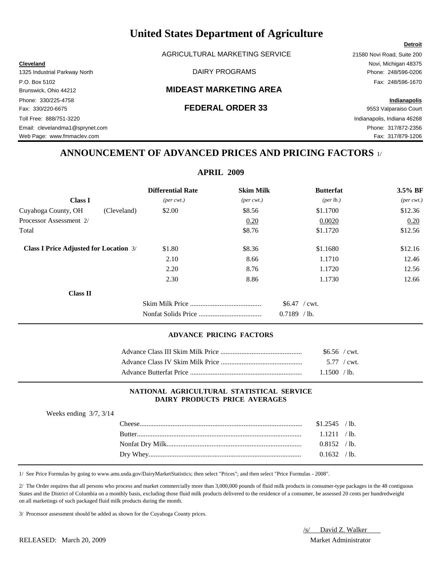AGRICULTURAL MARKETING SERVICE 21580 Novi Road, Suite 200

### Brunswick, Ohio 44212 **MIDEAST MARKETING AREA**

Phone: 330/225-4758 **Indianapolis** Fax: 330/220-6675 **FEDERAL ORDER 33** 9553 Valparaiso Court Toll Free: 888/751-3220 Indianapolis, Indiana 46268 Email: clevelandma1@sprynet.com Phone: 317/872-2356 Web Page: www.fmmaclev.com Fax: 317/879-1206

**Cleveland** Novi, Michigan 48375 1325 Industrial Parkway North DAIRY PROGRAMS Phone: 248/596-0206 P.O. Box 5102 Fax: 248/596-1670

**Detroit**

## **ANNOUNCEMENT OF ADVANCED PRICES AND PRICING FACTORS** 1/

### **APRIL 2009**

|                                               | <b>Differential Rate</b>    | <b>Skim Milk</b>            | <b>Butterfat</b>                    | 3.5% BF                     |
|-----------------------------------------------|-----------------------------|-----------------------------|-------------------------------------|-----------------------------|
| <b>Class I</b>                                | $(\text{per} \text{ cwt.})$ | $(\text{per} \text{ cwt.})$ | (per lb.)                           | $(\text{per} \text{ cwt.})$ |
| Cuyahoga County, OH<br>(Cleveland)            | \$2.00                      | \$8.56                      | \$1.1700                            | \$12.36                     |
| Processor Assessment 2/                       |                             | 0.20                        | 0.0020                              | 0.20                        |
| Total                                         |                             | \$8.76                      | \$1.1720                            | \$12.56                     |
| <b>Class I Price Adjusted for Location 3/</b> | \$1.80                      | \$8.36                      | \$1.1680                            | \$12.16                     |
|                                               | 2.10                        | 8.66                        | 1.1710                              | 12.46                       |
|                                               | 2.20                        | 8.76                        | 1.1720                              | 12.56                       |
|                                               | 2.30                        | 8.86                        | 1.1730                              | 12.66                       |
| Class II                                      |                             |                             |                                     |                             |
|                                               |                             |                             | $$6.47$ / cwt.<br>0.7189<br>$/$ lb. |                             |

### **ADVANCE PRICING FACTORS**

| $$6.56$ / cwt. |  |
|----------------|--|
|                |  |
| 1.1500 / lb.   |  |

### **NATIONAL AGRICULTURAL STATISTICAL SERVICE DAIRY PRODUCTS PRICE AVERAGES**

| Weeks ending $3/7$ , $3/14$ |                |  |
|-----------------------------|----------------|--|
| ' 'heese'                   | $$1.2545$ /lb. |  |
|                             | 1.1211 / lb.   |  |
|                             | $0.8152$ /lb.  |  |
|                             | 0.1632 / lb.   |  |

1/ See Price Formulas by going to www.ams.usda.gov/DairyMarketStatistics; then select "Prices"; and then select "Price Formulas - 2008".

2/ The Order requires that all persons who process and market commercially more than 3,000,000 pounds of fluid milk products in consumer-type packages in the 48 contiguous States and the District of Columbia on a monthly basis, excluding those fluid milk products delivered to the residence of a consumer, be assessed 20 cents per hundredweight on all marketings of such packaged fluid milk products during the month.

3/ Processor assessment should be added as shown for the Cuyahoga County prices.

/s/ David Z. Walker

RELEASED: March 20, 2009 Market Administrator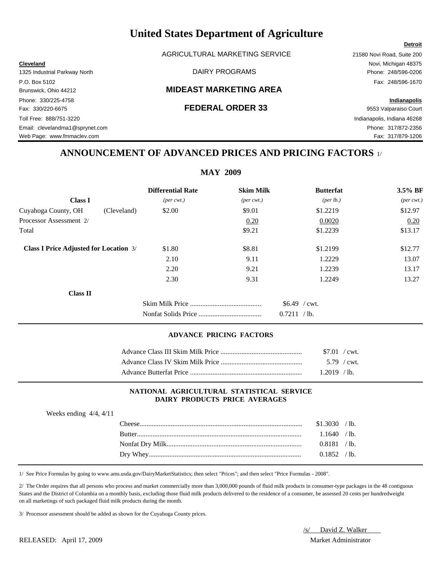AGRICULTURAL MARKETING SERVICE 21580 Novi Road, Suite 200

### Brunswick, Ohio 44212 **MIDEAST MARKETING AREA**

Phone: 330/225-4758 **Indianapolis** Fax: 330/220-6675 **FEDERAL ORDER 33** 9553 Valparaiso Court Toll Free: 888/751-3220 Indianapolis, Indiana 46268 Email: clevelandma1@sprynet.com Phone: 317/872-2356 Web Page: www.fmmaclev.com Fax: 317/879-1206

**Cleveland** Novi, Michigan 48375 1325 Industrial Parkway North DAIRY PROGRAMS Phone: 248/596-0206 P.O. Box 5102 Fax: 248/596-1670

**Detroit**

## **ANNOUNCEMENT OF ADVANCED PRICES AND PRICING FACTORS** 1/

### **MAY 2009**

|                                               |             | <b>Differential Rate</b>    | <b>Skim Milk</b>            | <b>Butterfat</b>                          | 3.5% BF                     |
|-----------------------------------------------|-------------|-----------------------------|-----------------------------|-------------------------------------------|-----------------------------|
| <b>Class I</b>                                |             | $(\text{per} \text{ cwt.})$ | $(\text{per} \text{ cwt.})$ | (per lb.)                                 | $(\text{per} \text{ cwt.})$ |
| Cuyahoga County, OH                           | (Cleveland) | \$2.00                      | \$9.01                      | \$1,2219                                  | \$12.97                     |
| Processor Assessment 2/                       |             |                             | 0.20                        | 0.0020                                    | 0.20                        |
| Total                                         |             |                             | \$9.21                      | \$1.2239                                  | \$13.17                     |
| <b>Class I Price Adjusted for Location 3/</b> |             | \$1.80                      | \$8.81                      | \$1,2199                                  | \$12.77                     |
|                                               |             | 2.10                        | 9.11                        | 1.2229                                    | 13.07                       |
|                                               |             | 2.20                        | 9.21                        | 1.2239                                    | 13.17                       |
|                                               |             | 2.30                        | 9.31                        | 1.2249                                    | 13.27                       |
| Class II                                      |             |                             |                             |                                           |                             |
|                                               |             |                             |                             | $$6.49$ / cwt.<br>0.7211<br>$\sqrt{1}$ b. |                             |

### **ADVANCE PRICING FACTORS**

| \$7.01 / cwt.  |  |
|----------------|--|
| 5.79 / cwt.    |  |
| $1.2019$ / lb. |  |

### **NATIONAL AGRICULTURAL STATISTICAL SERVICE DAIRY PRODUCTS PRICE AVERAGES**

| Weeks ending $4/4$ , $4/11$ |               |                |  |
|-----------------------------|---------------|----------------|--|
|                             |               | \$1.3030 / lb. |  |
|                             | <b>Rutter</b> | $.1640$ /lb.   |  |
|                             |               | 0.8181 / lb.   |  |
|                             |               | $0.1852$ /lb.  |  |

1/ See Price Formulas by going to www.ams.usda.gov/DairyMarketStatistics; then select "Prices"; and then select "Price Formulas - 2008".

2/ The Order requires that all persons who process and market commercially more than 3,000,000 pounds of fluid milk products in consumer-type packages in the 48 contiguous States and the District of Columbia on a monthly basis, excluding those fluid milk products delivered to the residence of a consumer, be assessed 20 cents per hundredweight on all marketings of such packaged fluid milk products during the month.

3/ Processor assessment should be added as shown for the Cuyahoga County prices.

/s/ David Z. Walker

RELEASED: April 17, 2009 Market Administrator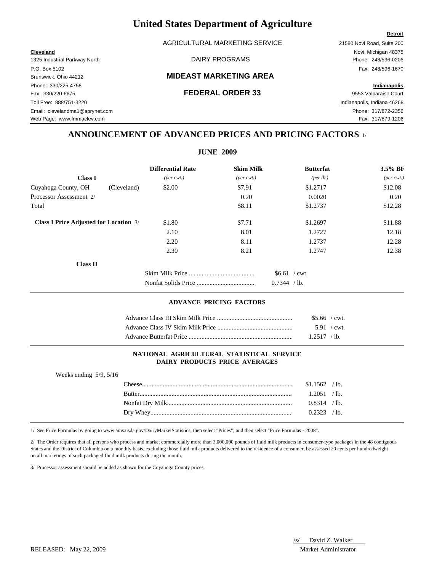AGRICULTURAL MARKETING SERVICE 21580 Novi Road, Suite 200

1325 Industrial Parkway North DAIRY PROGRAMS Phone: 248/596-0206 P.O. Box 5102 Fax: 248/596-1670 Phone: 330/225-4758 **Indianapolis** Fax: 330/220-6675 **FEDERAL ORDER 33** 9553 Valparaiso Court Toll Free: 888/751-3220 Indianapolis, Indiana 46268 Email: clevelandma1@sprynet.com Phone: 317/872-2356 Web Page: www.fmmaclev.com example of the community of the community of the community of the community of the community of the community of the community of the community of the community of the community of the community

### Brunswick, Ohio 44212 **MIDEAST MARKETING AREA**

**Cleveland** Novi, Michigan 48375

## **ANNOUNCEMENT OF ADVANCED PRICES AND PRICING FACTORS** 1/

**JUNE 2009**

|                                               | <b>Differential Rate</b>    | <b>Skim Milk</b>            | <b>Butterfat</b>     | $3.5\%$ BF                  |
|-----------------------------------------------|-----------------------------|-----------------------------|----------------------|-----------------------------|
| <b>Class I</b>                                | $(\text{per} \text{ cwt.})$ | $(\text{per} \text{ cwt.})$ | ${\rm (per \, lb.)}$ | $(\text{per} \text{ cwt.})$ |
| Cuyahoga County, OH<br>(Cleveland)            | \$2.00                      | \$7.91                      | \$1.2717             | \$12.08                     |
| Processor Assessment 2/                       |                             | 0.20                        | 0.0020               | 0.20                        |
| Total                                         |                             | \$8.11                      | \$1.2737             | \$12.28                     |
| <b>Class I Price Adjusted for Location 3/</b> | \$1.80                      | \$7.71                      | \$1.2697             | \$11.88                     |
|                                               | 2.10                        | 8.01                        | 1.2727               | 12.18                       |
|                                               | 2.20                        | 8.11                        | 1.2737               | 12.28                       |
|                                               | 2.30                        | 8.21                        | 1.2747               | 12.38                       |
| <b>Class II</b>                               |                             |                             |                      |                             |
|                                               |                             |                             | $$6.61$ / cwt.       |                             |
|                                               |                             |                             | 0.7344<br>$/$ lb.    |                             |

### **ADVANCE PRICING FACTORS**

| $$5.66$ / cwt. |  |
|----------------|--|
| 5.91 / cwt.    |  |
| $1.2517$ /lb.  |  |

### **NATIONAL AGRICULTURAL STATISTICAL SERVICE DAIRY PRODUCTS PRICE AVERAGES**

| Weeks ending $5/9$ , $5/16$ |                |  |
|-----------------------------|----------------|--|
|                             | $$1.1562$ /lb. |  |
|                             | 1.2051 / lb.   |  |
|                             | $0.8314$ /lb.  |  |
|                             | $0.2323$ /lb.  |  |
|                             |                |  |

1/ See Price Formulas by going to www.ams.usda.gov/DairyMarketStatistics; then select "Prices"; and then select "Price Formulas - 2008".

2/ The Order requires that all persons who process and market commercially more than 3,000,000 pounds of fluid milk products in consumer-type packages in the 48 contiguous States and the District of Columbia on a monthly basis, excluding those fluid milk products delivered to the residence of a consumer, be assessed 20 cents per hundredweight on all marketings of such packaged fluid milk products during the month.

3/ Processor assessment should be added as shown for the Cuyahoga County prices.

RELEASED: May 22, 2009 Market Administrator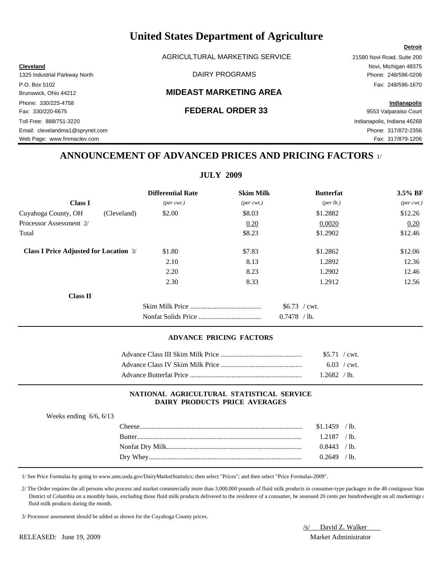AGRICULTURAL MARKETING SERVICE 21580 Novi Road, Suite 200

### Brunswick, Ohio 44212 **MIDEAST MARKETING AREA**

Phone: 330/225-4758 **Indianapolis** Fax: 330/220-6675 **FEDERAL ORDER 33** 9553 Valparaiso Court Toll Free: 888/751-3220 Indianapolis, Indiana 46268 Email: clevelandma1@sprynet.com Phone: 317/872-2356 Web Page: www.fmmaclev.com **Fax: 317/879-1206** 

**Cleveland** Novi, Michigan 48375 1325 Industrial Parkway North DAIRY PROGRAMS Phone: 248/596-0206 P.O. Box 5102 Fax: 248/596-1670

## **ANNOUNCEMENT OF ADVANCED PRICES AND PRICING FACTORS** 1/

**JULY 2009**

|                                               |             | <b>Differential Rate</b>    | <b>Skim Milk</b>            | <b>Butterfat</b>                    | 3.5% BF                     |
|-----------------------------------------------|-------------|-----------------------------|-----------------------------|-------------------------------------|-----------------------------|
| <b>Class I</b>                                |             | $(\text{per} \text{ cwt.})$ | $(\text{per} \text{ cwt.})$ | $(\text{per lb.})$                  | $(\text{per} \text{ cwt.})$ |
| Cuyahoga County, OH                           | (Cleveland) | \$2.00                      | \$8.03                      | \$1.2882                            | \$12.26                     |
| Processor Assessment 2/                       |             |                             | 0.20                        | 0.0020                              | 0.20                        |
| Total                                         |             |                             | \$8.23                      | \$1.2902                            | \$12.46                     |
| <b>Class I Price Adjusted for Location 3/</b> |             | \$1.80                      | \$7.83                      | \$1.2862                            | \$12.06                     |
|                                               |             | 2.10                        | 8.13                        | 1.2892                              | 12.36                       |
|                                               |             | 2.20                        | 8.23                        | 1.2902                              | 12.46                       |
|                                               |             | 2.30                        | 8.33                        | 1.2912                              | 12.56                       |
| <b>Class II</b>                               |             |                             |                             |                                     |                             |
|                                               |             |                             |                             | $$6.73$ / cwt.<br>0.7478<br>$/$ lb. |                             |

### **ADVANCE PRICING FACTORS**

| $$5.71$ / cwt. |  |
|----------------|--|
| $6.03$ / cwt.  |  |
| 1.2682 / h     |  |

### **NATIONAL AGRICULTURAL STATISTICAL SERVICE DAIRY PRODUCTS PRICE AVERAGES**

| $$1.1459$ /lb. |  |
|----------------|--|
| $1.2187$ /lb.  |  |
| $0.8443$ /lb.  |  |
| $0.2649$ /lb.  |  |

1/ See Price Formulas by going to www.ams.usda.gov/DairyMarketStatistics; then select "Prices"; and then select "Price Formulas-2009".

 2/ The Order requires the all persons who process and market commercially more than 3,000,000 pounds of fluid milk products in consumer-type packages in the 48 contiguous State District of Columbia on a monthly basis, excluding those fluid milk products delivered to the residence of a consumer, be assessed 20 cents per hundredweight on all marketings on fluid milk products during the month.

3/ Processor assessment should be added as shown for the Cuyahoga County prices.

/s/ David Z. Walker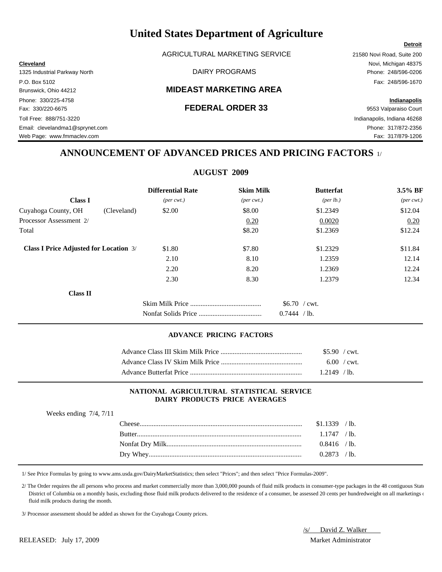AGRICULTURAL MARKETING SERVICE 21580 Novi Road, Suite 200

### Brunswick, Ohio 44212 **MIDEAST MARKETING AREA**

Phone: 330/225-4758 **Indianapolis** Fax: 330/220-6675 **FEDERAL ORDER 33** 9553 Valparaiso Court Toll Free: 888/751-3220 Indianapolis, Indiana 46268 Email: clevelandma1@sprynet.com Phone: 317/872-2356 Web Page: www.fmmaclev.com Fax: 317/879-1206

**Cleveland** Novi, Michigan 48375 1325 Industrial Parkway North DAIRY PROGRAMS Phone: 248/596-0206 P.O. Box 5102 Fax: 248/596-1670

**Detroit**

## **ANNOUNCEMENT OF ADVANCED PRICES AND PRICING FACTORS** 1/

### **AUGUST 2009**

|                                               | <b>Differential Rate</b>    | <b>Skim Milk</b>            | <b>Butterfat</b>                  | 3.5% BF                     |
|-----------------------------------------------|-----------------------------|-----------------------------|-----------------------------------|-----------------------------|
| <b>Class I</b>                                | $(\text{per} \text{ cwt.})$ | $(\text{per} \text{ cwt.})$ | ${\rm (per \, lb.)}$              | $(\text{per} \text{ cwt.})$ |
| Cuyahoga County, OH                           | \$2.00<br>(Cleveland)       | \$8.00                      | \$1.2349                          | \$12.04                     |
| Processor Assessment 2/                       |                             | 0.20                        | 0.0020                            | 0.20                        |
| Total                                         |                             | \$8.20                      | \$1.2369                          | \$12.24                     |
| <b>Class I Price Adjusted for Location 3/</b> | \$1.80                      | \$7.80                      | \$1.2329                          | \$11.84                     |
|                                               | 2.10                        | 8.10                        | 1.2359                            | 12.14                       |
|                                               | 2.20                        | 8.20                        | 1.2369                            | 12.24                       |
|                                               | 2.30                        | 8.30                        | 1.2379                            | 12.34                       |
| <b>Class II</b>                               |                             |                             |                                   |                             |
|                                               |                             |                             | $$6.70$ / cwt.<br>0.7444<br>/ lb. |                             |

### **ADVANCE PRICING FACTORS**

| $$5.90$ / cwt. |                     |
|----------------|---------------------|
|                | $6.00 / \text{cwt}$ |
| $1.2149$ /lb.  |                     |

### **NATIONAL AGRICULTURAL STATISTICAL SERVICE DAIRY PRODUCTS PRICE AVERAGES**

| Weeks ending $7/4$ , $7/11$ |                |  |
|-----------------------------|----------------|--|
|                             | $$1.1339$ /lb. |  |
|                             | $1.1747$ /lb.  |  |
|                             | $0.8416$ /lb.  |  |
|                             | $0.2873$ /lb.  |  |

1/ See Price Formulas by going to www.ams.usda.gov/DairyMarketStatistics; then select "Prices"; and then select "Price Formulas-2009".

2/ The Order requires the all persons who process and market commercially more than 3,000,000 pounds of fluid milk products in consumer-type packages in the 48 contiguous State District of Columbia on a monthly basis, excluding those fluid milk products delivered to the residence of a consumer, be assessed 20 cents per hundredweight on all marketings or fluid milk products during the month.

3/ Processor assessment should be added as shown for the Cuyahoga County prices.

/s/ David Z. Walker

### RELEASED: July 17, 2009 Market Administrator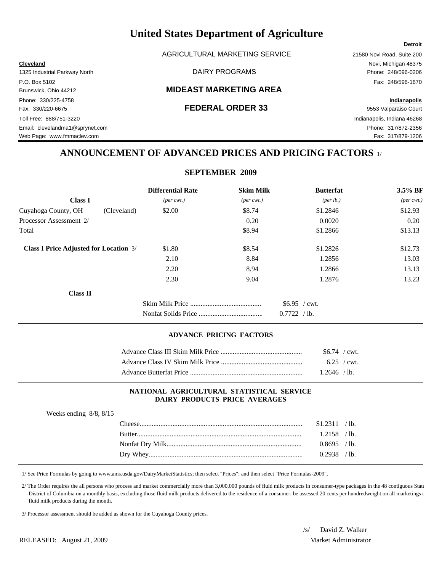AGRICULTURAL MARKETING SERVICE 21580 Novi Road, Suite 200

### Brunswick, Ohio 44212 **MIDEAST MARKETING AREA**

Phone: 330/225-4758 **Indianapolis** Fax: 330/220-6675 **FEDERAL ORDER 33** 9553 Valparaiso Court Toll Free: 888/751-3220 Indianapolis, Indiana 46268 Email: clevelandma1@sprynet.com Phone: 317/872-2356 Web Page: www.fmmaclev.com **Fax: 317/879-1206** 

**Cleveland** Novi, Michigan 48375

**Detroit**

## **ANNOUNCEMENT OF ADVANCED PRICES AND PRICING FACTORS** 1/

### **SEPTEMBER 2009**

|                                               |             | <b>Differential Rate</b>    | <b>Skim Milk</b>            | <b>Butterfat</b>                  | 3.5% BF                     |
|-----------------------------------------------|-------------|-----------------------------|-----------------------------|-----------------------------------|-----------------------------|
| <b>Class I</b>                                |             | $(\text{per} \text{ cwt.})$ | $(\text{per} \text{ cwt.})$ | ${\rm (per \, lb.)}$              | $(\text{per} \text{ cwt.})$ |
| Cuyahoga County, OH                           | (Cleveland) | \$2.00                      | \$8.74                      | \$1.2846                          | \$12.93                     |
| Processor Assessment 2/                       |             |                             | 0.20                        | 0.0020                            | 0.20                        |
| Total                                         |             |                             | \$8.94                      | \$1.2866                          | \$13.13                     |
| <b>Class I Price Adjusted for Location 3/</b> |             | \$1.80                      | \$8.54                      | \$1.2826                          | \$12.73                     |
|                                               |             | 2.10                        | 8.84                        | 1.2856                            | 13.03                       |
|                                               |             | 2.20                        | 8.94                        | 1.2866                            | 13.13                       |
|                                               |             | 2.30                        | 9.04                        | 1.2876                            | 13.23                       |
| <b>Class II</b>                               |             |                             |                             |                                   |                             |
|                                               |             |                             |                             | $$6.95$ / cwt.<br>0.7722<br>/ lb. |                             |

### **ADVANCE PRICING FACTORS**

| $$6.74$ / cwt. |  |
|----------------|--|
| $6.25$ / cwt.  |  |
| $1.2646$ / lb. |  |

### **NATIONAL AGRICULTURAL STATISTICAL SERVICE DAIRY PRODUCTS PRICE AVERAGES**

| $\ldots$ conto entering $\sigma$ , $\sigma$ , $\sigma$ , $\sigma$ |                  |                |  |
|-------------------------------------------------------------------|------------------|----------------|--|
|                                                                   | $\text{Cheese}.$ | $$1.2311$ /lb. |  |
|                                                                   |                  | $1.2158$ /lb.  |  |
|                                                                   |                  | $0.8695$ /lb.  |  |
|                                                                   |                  | $0.2938$ /lb.  |  |
|                                                                   |                  |                |  |

1/ See Price Formulas by going to www.ams.usda.gov/DairyMarketStatistics; then select "Prices"; and then select "Price Formulas-2009".

2/ The Order requires the all persons who process and market commercially more than 3,000,000 pounds of fluid milk products in consumer-type packages in the 48 contiguous State District of Columbia on a monthly basis, excluding those fluid milk products delivered to the residence of a consumer, be assessed 20 cents per hundredweight on all marketings or fluid milk products during the month.

3/ Processor assessment should be added as shown for the Cuyahoga County prices.

/s/ David Z. Walker

### RELEASED: August 21, 2009 Market Administrator

1325 Industrial Parkway North DAIRY PROGRAMS Phone: 248/596-0206 P.O. Box 5102 Fax: 248/596-1670

Weeks ending 8/8, 8/15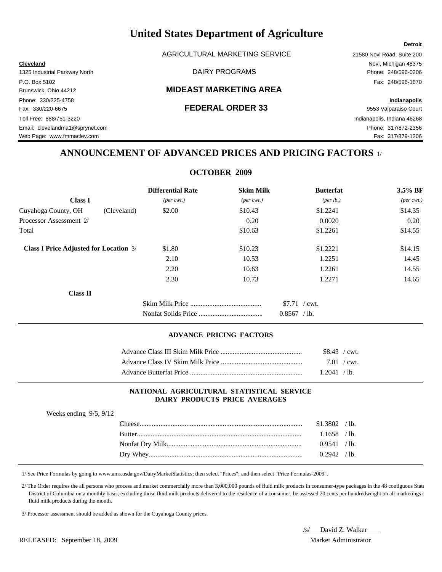AGRICULTURAL MARKETING SERVICE 21580 Novi Road, Suite 200

### Brunswick, Ohio 44212 **MIDEAST MARKETING AREA**

Phone: 330/225-4758 **Indianapolis** Fax: 330/220-6675 **FEDERAL ORDER 33** 9553 Valparaiso Court Toll Free: 888/751-3220 Indianapolis, Indiana 46268 Email: clevelandma1@sprynet.com Phone: 317/872-2356 Web Page: www.fmmaclev.com Fax: 317/879-1206

**Cleveland** Novi, Michigan 48375 1325 Industrial Parkway North DAIRY PROGRAMS Phone: 248/596-0206 P.O. Box 5102 Fax: 248/596-1670

## **ANNOUNCEMENT OF ADVANCED PRICES AND PRICING FACTORS** 1/

### **OCTOBER 2009**

|                                               | <b>Differential Rate</b>    | <b>Skim Milk</b>            | <b>Butterfat</b>                | 3.5% BF                     |
|-----------------------------------------------|-----------------------------|-----------------------------|---------------------------------|-----------------------------|
| <b>Class I</b>                                | $(\text{per} \text{ cwt.})$ | $(\text{per} \text{ cwt.})$ | (per lb.)                       | $(\text{per} \text{ cwt.})$ |
| Cuyahoga County, OH<br>(Cleveland)            | \$2.00                      | \$10.43                     | \$1.2241                        | \$14.35                     |
| Processor Assessment 2/                       |                             | 0.20                        | 0.0020                          | 0.20                        |
| Total                                         |                             | \$10.63                     | \$1.2261                        | \$14.55                     |
| <b>Class I Price Adjusted for Location 3/</b> | \$1.80                      | \$10.23                     | \$1.2221                        | \$14.15                     |
|                                               | 2.10                        | 10.53                       | 1.2251                          | 14.45                       |
|                                               | 2.20                        | 10.63                       | 1.2261                          | 14.55                       |
|                                               | 2.30                        | 10.73                       | 1.2271                          | 14.65                       |
| <b>Class II</b>                               |                             |                             |                                 |                             |
|                                               |                             |                             | $$7.71$ / cwt.<br>$0.8567$ /lb. |                             |

### **ADVANCE PRICING FACTORS**

| \$8.43 / cwt. |                |
|---------------|----------------|
|               | 7.01 / $cwt$ . |
| 1.2041 / lb.  |                |

### **NATIONAL AGRICULTURAL STATISTICAL SERVICE DAIRY PRODUCTS PRICE AVERAGES**

| Weeks ending $9/5$ , $9/12$ |                |  |
|-----------------------------|----------------|--|
|                             | $$1.3802$ /lb. |  |
|                             | $1.1658$ /lb.  |  |
|                             | 0.9541 / lb.   |  |
|                             | $0.2942$ /lb.  |  |

1/ See Price Formulas by going to www.ams.usda.gov/DairyMarketStatistics; then select "Prices"; and then select "Price Formulas-2009".

2/ The Order requires the all persons who process and market commercially more than 3,000,000 pounds of fluid milk products in consumer-type packages in the 48 contiguous State District of Columbia on a monthly basis, excluding those fluid milk products delivered to the residence of a consumer, be assessed 20 cents per hundredweight on all marketings or fluid milk products during the month.

3/ Processor assessment should be added as shown for the Cuyahoga County prices.

/s/ David Z. Walker

RELEASED: September 18, 2009 Market Administrator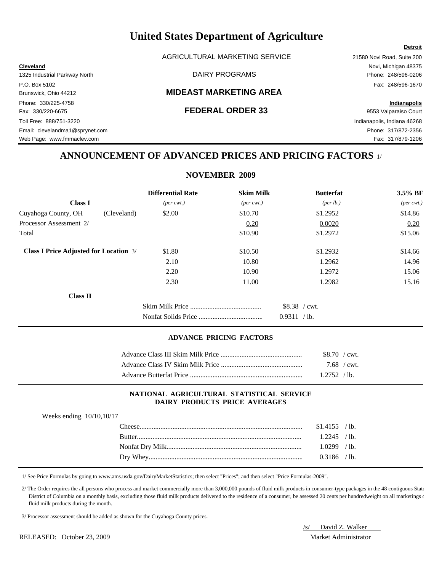AGRICULTURAL MARKETING SERVICE 21580 Novi Road, Suite 200

### Brunswick, Ohio 44212 **MIDEAST MARKETING AREA**

Phone: 330/225-4758 **Indianapolis** Fax: 330/220-6675 **FEDERAL ORDER 33** 9553 Valparaiso Court Toll Free: 888/751-3220 Indianapolis, Indiana 46268 Email: clevelandma1@sprynet.com Phone: 317/872-2356 Web Page: www.fmmaclev.com **Fax: 317/879-1206** 

### **Detroit**

**Cleveland** Novi, Michigan 48375 1325 Industrial Parkway North DAIRY PROGRAMS Phone: 248/596-0206 P.O. Box 5102 Fax: 248/596-1670

## **ANNOUNCEMENT OF ADVANCED PRICES AND PRICING FACTORS** 1/

**NOVEMBER 2009**

|                                               | <b>Differential Rate</b>    | <b>Skim Milk</b>            | <b>Butterfat</b>   | 3.5% BF                     |
|-----------------------------------------------|-----------------------------|-----------------------------|--------------------|-----------------------------|
| <b>Class I</b>                                | $(\text{per} \text{ cwt.})$ | $(\text{per} \text{ cwt.})$ | $(\text{per lb.})$ | $(\text{per} \text{ cwt.})$ |
| Cuyahoga County, OH<br>(Cleveland)            | \$2.00                      | \$10.70                     | \$1.2952           | \$14.86                     |
| Processor Assessment 2/                       |                             | 0.20                        | 0.0020             | 0.20                        |
| Total                                         |                             | \$10.90                     | \$1.2972           | \$15.06                     |
| <b>Class I Price Adjusted for Location 3/</b> | \$1.80                      | \$10.50                     | \$1.2932           | \$14.66                     |
|                                               | 2.10                        | 10.80                       | 1.2962             | 14.96                       |
|                                               | 2.20                        | 10.90                       | 1.2972             | 15.06                       |
|                                               | 2.30                        | 11.00                       | 1.2982             | 15.16                       |
| <b>Class II</b>                               |                             |                             |                    |                             |
|                                               |                             |                             | \$8.38 / cwt.      |                             |
|                                               |                             |                             | 0.9311<br>$/$ lb.  |                             |

### **ADVANCE PRICING FACTORS**

| \$8.70 / cwt. |
|---------------|
| 7.68 / cwt.   |
| 12752 / h     |

### **NATIONAL AGRICULTURAL STATISTICAL SERVICE DAIRY PRODUCTS PRICE AVERAGES**

| Weeks ending $10/10, 10/17$ |                |
|-----------------------------|----------------|
|                             | $$1.4155$ /lb. |
|                             | $1.2245$ /lb.  |
|                             | $1.0299$ /lb.  |
|                             | $0.3186$ /lb.  |

1/ See Price Formulas by going to www.ams.usda.gov/DairyMarketStatistics; then select "Prices"; and then select "Price Formulas-2009".

 2/ The Order requires the all persons who process and market commercially more than 3,000,000 pounds of fluid milk products in consumer-type packages in the 48 contiguous State District of Columbia on a monthly basis, excluding those fluid milk products delivered to the residence of a consumer, be assessed 20 cents per hundredweight on all marketings on fluid milk products during the month.

3/ Processor assessment should be added as shown for the Cuyahoga County prices.

/s/ David Z. Walker